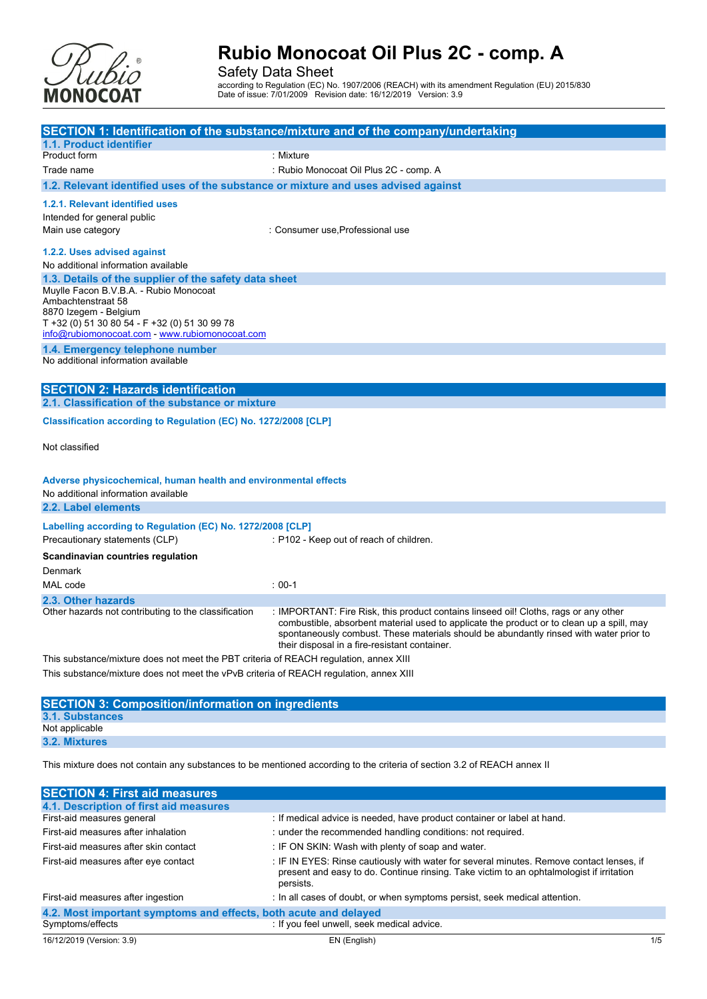

Safety Data Sheet

according to Regulation (EC) No. 1907/2006 (REACH) with its amendment Regulation (EU) 2015/830 Date of issue: 7/01/2009 Revision date: 16/12/2019 Version: 3.9

|                                                                                                 | SECTION 1: Identification of the substance/mixture and of the company/undertaking         |
|-------------------------------------------------------------------------------------------------|-------------------------------------------------------------------------------------------|
| 1.1. Product identifier                                                                         |                                                                                           |
| Product form                                                                                    | : Mixture                                                                                 |
| Trade name                                                                                      | : Rubio Monocoat Oil Plus 2C - comp. A                                                    |
| 1.2. Relevant identified uses of the substance or mixture and uses advised against              |                                                                                           |
| 1.2.1. Relevant identified uses                                                                 |                                                                                           |
| Intended for general public                                                                     |                                                                                           |
| Main use category                                                                               | : Consumer use, Professional use                                                          |
|                                                                                                 |                                                                                           |
| 1.2.2. Uses advised against                                                                     |                                                                                           |
| No additional information available                                                             |                                                                                           |
| 1.3. Details of the supplier of the safety data sheet<br>Muvile Facon B.V.B.A. - Rubio Monocoat |                                                                                           |
| Ambachtenstraat 58                                                                              |                                                                                           |
| 8870 Izegem - Belgium                                                                           |                                                                                           |
| T +32 (0) 51 30 80 54 - F +32 (0) 51 30 99 78                                                   |                                                                                           |
| info@rubiomonocoat.com - www.rubiomonocoat.com                                                  |                                                                                           |
| 1.4. Emergency telephone number                                                                 |                                                                                           |
| No additional information available                                                             |                                                                                           |
|                                                                                                 |                                                                                           |
| <b>SECTION 2: Hazards identification</b><br>2.1. Classification of the substance or mixture     |                                                                                           |
| Classification according to Regulation (EC) No. 1272/2008 [CLP]                                 |                                                                                           |
|                                                                                                 |                                                                                           |
| Not classified                                                                                  |                                                                                           |
|                                                                                                 |                                                                                           |
| Adverse physicochemical, human health and environmental effects                                 |                                                                                           |
| No additional information available                                                             |                                                                                           |
| 2.2. Label elements                                                                             |                                                                                           |
|                                                                                                 |                                                                                           |
| Labelling according to Regulation (EC) No. 1272/2008 [CLP]                                      |                                                                                           |
| Precautionary statements (CLP)                                                                  | : P102 - Keep out of reach of children.                                                   |
| Scandinavian countries regulation                                                               |                                                                                           |
| Denmark                                                                                         |                                                                                           |
| MAL code                                                                                        | $: 00-1$                                                                                  |
| 2.3. Other hazards                                                                              |                                                                                           |
| Other hazards not contributing to the classification                                            | : IMPORTANT: Fire Risk, this product contains linseed oil! Cloths, rags or any other      |
|                                                                                                 | combustible, absorbent material used to applicate the product or to clean up a spill, may |
|                                                                                                 | spontaneously combust. These materials should be abundantly rinsed with water prior to    |
|                                                                                                 | their disposal in a fire-resistant container.                                             |
| This substance/mixture does not meet the PBT criteria of REACH regulation, annex XIII           |                                                                                           |
| This substance/mixture does not meet the vPvB criteria of REACH regulation, annex XIII          |                                                                                           |
|                                                                                                 |                                                                                           |
| <b>SECTION 3: Composition/information on ingredients</b>                                        |                                                                                           |
| 3.1. Substances                                                                                 |                                                                                           |
| Not applicable                                                                                  |                                                                                           |
| 3.2. Mixtures                                                                                   |                                                                                           |

This mixture does not contain any substances to be mentioned according to the criteria of section 3.2 of REACH annex II

| <b>SECTION 4: First aid measures</b>                             |                                                                                                                                                                                                   |     |
|------------------------------------------------------------------|---------------------------------------------------------------------------------------------------------------------------------------------------------------------------------------------------|-----|
| 4.1. Description of first aid measures                           |                                                                                                                                                                                                   |     |
| First-aid measures general                                       | : If medical advice is needed, have product container or label at hand.                                                                                                                           |     |
| First-aid measures after inhalation                              | : under the recommended handling conditions: not required.                                                                                                                                        |     |
| First-aid measures after skin contact                            | : IF ON SKIN: Wash with plenty of soap and water.                                                                                                                                                 |     |
| First-aid measures after eye contact                             | : IF IN EYES: Rinse cautiously with water for several minutes. Remove contact lenses, if<br>present and easy to do. Continue rinsing. Take victim to an ophtalmologist if irritation<br>persists. |     |
| First-aid measures after ingestion                               | : In all cases of doubt, or when symptoms persist, seek medical attention.                                                                                                                        |     |
| 4.2. Most important symptoms and effects, both acute and delayed |                                                                                                                                                                                                   |     |
| Symptoms/effects                                                 | : If you feel unwell, seek medical advice.                                                                                                                                                        |     |
| 16/12/2019 (Version: 3.9)                                        | EN (English)                                                                                                                                                                                      | 1/5 |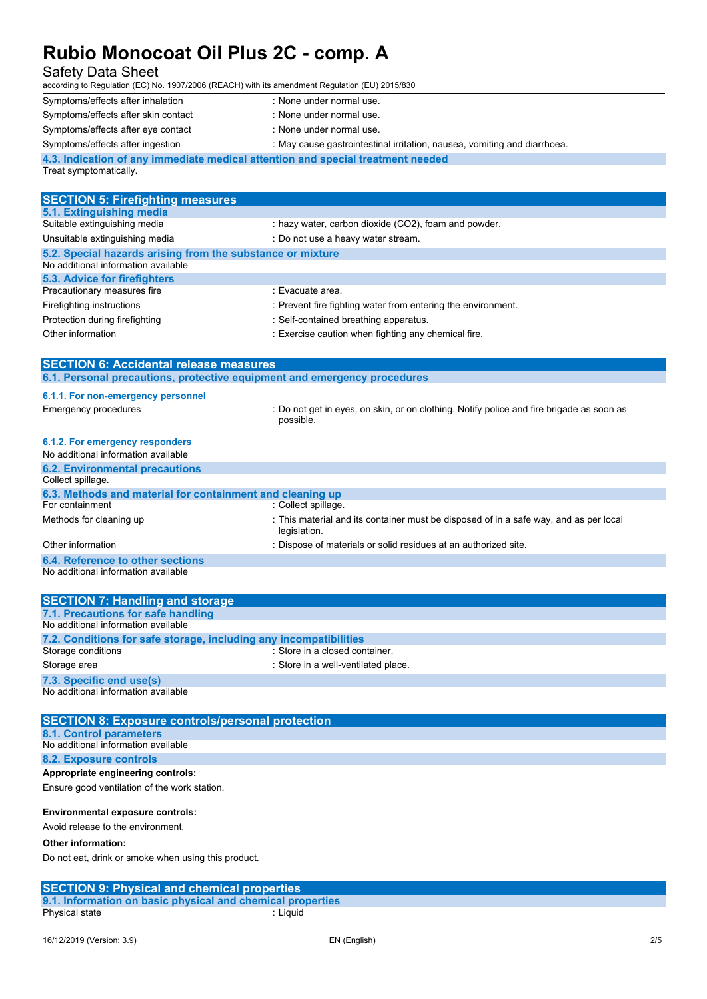| <u>NUMO MONOCORE ON FIUS ZU - COMP. A</u>                                                         |                                                                                                       |
|---------------------------------------------------------------------------------------------------|-------------------------------------------------------------------------------------------------------|
| <b>Safety Data Sheet</b>                                                                          |                                                                                                       |
| according to Regulation (EC) No. 1907/2006 (REACH) with its amendment Regulation (EU) 2015/830    |                                                                                                       |
| Symptoms/effects after inhalation                                                                 | : None under normal use.                                                                              |
| Symptoms/effects after skin contact                                                               | : None under normal use.                                                                              |
| Symptoms/effects after eye contact                                                                | : None under normal use.                                                                              |
| Symptoms/effects after ingestion                                                                  | : May cause gastrointestinal irritation, nausea, vomiting and diarrhoea.                              |
| 4.3. Indication of any immediate medical attention and special treatment needed                   |                                                                                                       |
| Treat symptomatically.                                                                            |                                                                                                       |
|                                                                                                   |                                                                                                       |
| <b>SECTION 5: Firefighting measures</b>                                                           |                                                                                                       |
| 5.1. Extinguishing media                                                                          |                                                                                                       |
| Suitable extinguishing media                                                                      | : hazy water, carbon dioxide (CO2), foam and powder.                                                  |
| Unsuitable extinguishing media                                                                    | : Do not use a heavy water stream.                                                                    |
| 5.2. Special hazards arising from the substance or mixture<br>No additional information available |                                                                                                       |
| 5.3. Advice for firefighters                                                                      |                                                                                                       |
| Precautionary measures fire                                                                       | : Evacuate area.                                                                                      |
| Firefighting instructions                                                                         | : Prevent fire fighting water from entering the environment.                                          |
| Protection during firefighting                                                                    | : Self-contained breathing apparatus.                                                                 |
| Other information                                                                                 | : Exercise caution when fighting any chemical fire.                                                   |
|                                                                                                   |                                                                                                       |
| <b>SECTION 6: Accidental release measures</b>                                                     |                                                                                                       |
| 6.1. Personal precautions, protective equipment and emergency procedures                          |                                                                                                       |
| 6.1.1. For non-emergency personnel                                                                |                                                                                                       |
| <b>Emergency procedures</b>                                                                       | : Do not get in eyes, on skin, or on clothing. Notify police and fire brigade as soon as              |
|                                                                                                   | possible.                                                                                             |
| 6.1.2. For emergency responders                                                                   |                                                                                                       |
| No additional information available                                                               |                                                                                                       |
| <b>6.2. Environmental precautions</b>                                                             |                                                                                                       |
| Collect spillage.                                                                                 |                                                                                                       |
| 6.3. Methods and material for containment and cleaning up                                         |                                                                                                       |
| For containment                                                                                   | : Collect spillage.                                                                                   |
| Methods for cleaning up                                                                           | : This material and its container must be disposed of in a safe way, and as per local<br>legislation. |
| Other information                                                                                 | : Dispose of materials or solid residues at an authorized site.                                       |
| 6.4. Reference to other sections                                                                  |                                                                                                       |
| No additional information available                                                               |                                                                                                       |
|                                                                                                   |                                                                                                       |
| <b>SECTION 7: Handling and storage</b>                                                            |                                                                                                       |
| 7.1. Precautions for safe handling                                                                |                                                                                                       |
| No additional information available                                                               |                                                                                                       |
| 7.2. Conditions for safe storage, including any incompatibilities<br>Storage conditions           | : Store in a closed container.                                                                        |
| Storage area                                                                                      | : Store in a well-ventilated place.                                                                   |
|                                                                                                   |                                                                                                       |
| 7.3. Specific end use(s)<br>No additional information available                                   |                                                                                                       |
|                                                                                                   |                                                                                                       |

| <b>SECTION 8: Exposure controls/personal protection</b> |
|---------------------------------------------------------|
| 8.1. Control parameters                                 |
| No additional information available                     |
| 8.2. Exposure controls                                  |
| Appropriate engineering controls:                       |
| Ensure good ventilation of the work station.            |
|                                                         |
| <b>Environmental exposure controls:</b>                 |

Avoid release to the environment.

#### **Other information:**

Do not eat, drink or smoke when using this product.

#### **SECTION 9: Physical and chemical properties**

**9.1. Information on basic physical and chemical properties** Physical state : Liquid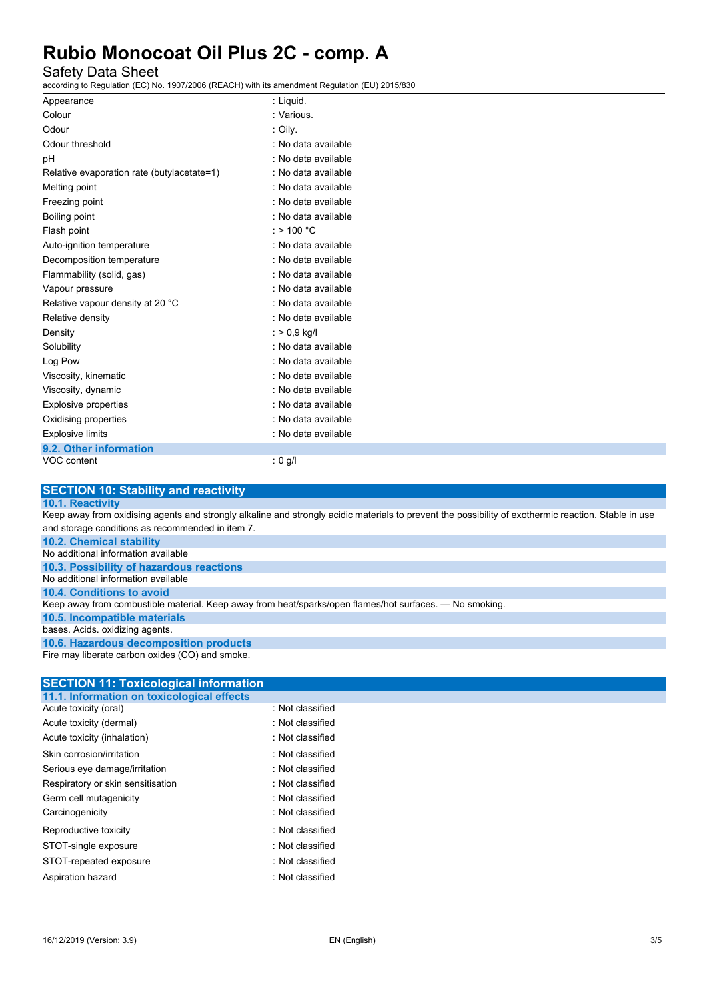### Safety Data Sheet

according to Regulation (EC) No. 1907/2006 (REACH) with its amendment Regulation (EU) 2015/830

| Appearance                                 | : Liquid.            |
|--------------------------------------------|----------------------|
| Colour                                     | : Various            |
| Odour                                      | : Oily.              |
| Odour threshold                            | : No data available  |
| рH                                         | : No data available  |
| Relative evaporation rate (butylacetate=1) | : No data available  |
| Melting point                              | : No data available  |
| Freezing point                             | : No data available  |
| Boiling point                              | : No data available  |
| Flash point                                | : > 100 $^{\circ}$ C |
| Auto-ignition temperature                  | : No data available  |
| Decomposition temperature                  | : No data available  |
| Flammability (solid, gas)                  | : No data available  |
| Vapour pressure                            | : No data available  |
| Relative vapour density at 20 °C           | : No data available  |
| Relative density                           | : No data available  |
| Density                                    | $:$ > 0.9 kg/l       |
| Solubility                                 | : No data available  |
| Log Pow                                    | : No data available  |
| Viscosity, kinematic                       | : No data available  |
| Viscosity, dynamic                         | : No data available  |
| <b>Explosive properties</b>                | : No data available  |
| Oxidising properties                       | : No data available  |
| <b>Explosive limits</b>                    | : No data available  |
| 9.2. Other information                     |                      |
| VOC content                                | : 0 g/l              |

### **SECTION 10: Stability and reactivity**

#### **10.1. Reactivity**

Keep away from oxidising agents and strongly alkaline and strongly acidic materials to prevent the possibility of exothermic reaction. Stable in use and storage conditions as recommended in item 7.

**10.2. Chemical stability**

No additional information available

**10.3. Possibility of hazardous reactions** No additional information available **10.4. Conditions to avoid** Keep away from combustible material. Keep away from heat/sparks/open flames/hot surfaces. — No smoking. **10.5. Incompatible materials** bases. Acids. oxidizing agents. **10.6. Hazardous decomposition products**

Fire may liberate carbon oxides (CO) and smoke.

#### **SECTION 11: Toxicological information 11.1. Information on toxicological effects**

| Acute toxicity (oral)             | : Not classified |
|-----------------------------------|------------------|
| Acute toxicity (dermal)           | : Not classified |
| Acute toxicity (inhalation)       | : Not classified |
| Skin corrosion/irritation         | : Not classified |
| Serious eye damage/irritation     | : Not classified |
| Respiratory or skin sensitisation | : Not classified |
| Germ cell mutagenicity            | : Not classified |
| Carcinogenicity                   | : Not classified |
| Reproductive toxicity             | : Not classified |
| STOT-single exposure              | : Not classified |
| STOT-repeated exposure            | : Not classified |
| Aspiration hazard                 | : Not classified |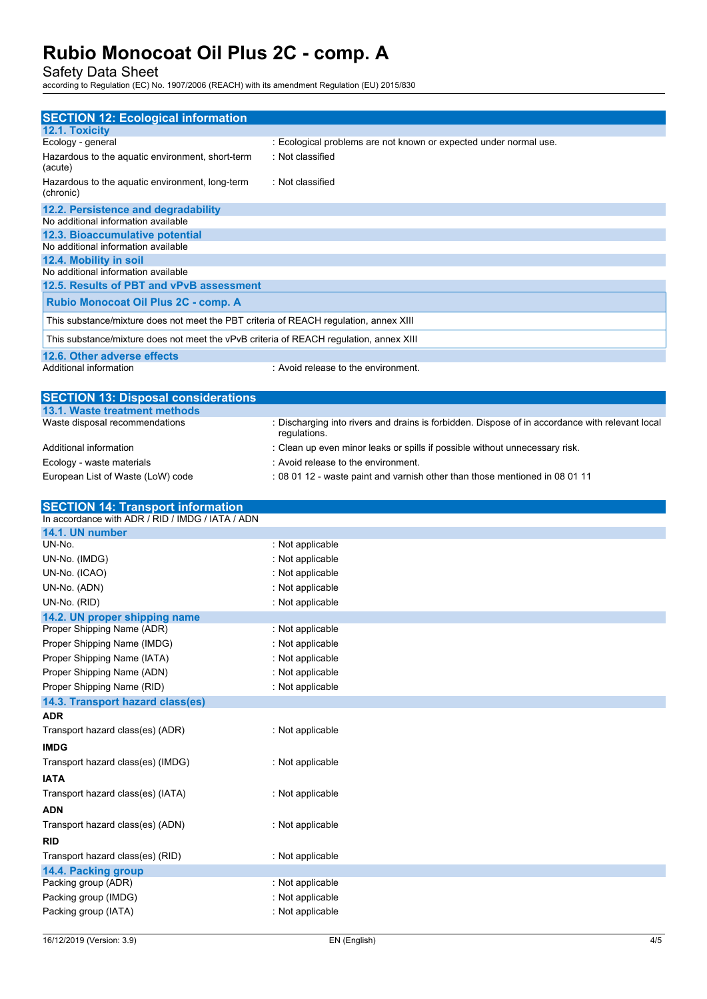Safety Data Sheet

according to Regulation (EC) No. 1907/2006 (REACH) with its amendment Regulation (EU) 2015/830

| <b>SECTION 12: Ecological information</b>                                              |                                                                   |
|----------------------------------------------------------------------------------------|-------------------------------------------------------------------|
| 12.1. Toxicity                                                                         |                                                                   |
| Ecology - general                                                                      | : Ecological problems are not known or expected under normal use. |
| Hazardous to the aquatic environment, short-term<br>(acute)                            | : Not classified                                                  |
| Hazardous to the aquatic environment, long-term<br>(chronic)                           | : Not classified                                                  |
| 12.2. Persistence and degradability                                                    |                                                                   |
| No additional information available                                                    |                                                                   |
| 12.3. Bioaccumulative potential                                                        |                                                                   |
| No additional information available                                                    |                                                                   |
| 12.4. Mobility in soil                                                                 |                                                                   |
| No additional information available                                                    |                                                                   |
| 12.5. Results of PBT and vPvB assessment                                               |                                                                   |
| Rubio Monocoat Oil Plus 2C - comp. A                                                   |                                                                   |
| This substance/mixture does not meet the PBT criteria of REACH regulation, annex XIII  |                                                                   |
| This substance/mixture does not meet the vPvB criteria of REACH regulation, annex XIII |                                                                   |
| 12.6. Other adverse effects                                                            |                                                                   |
| Additional information                                                                 | : Avoid release to the environment.                               |

| <b>SECTION 13: Disposal considerations</b> |                                                                                                                 |
|--------------------------------------------|-----------------------------------------------------------------------------------------------------------------|
| 13.1. Waste treatment methods              |                                                                                                                 |
| Waste disposal recommendations             | : Discharging into rivers and drains is forbidden. Dispose of in accordance with relevant local<br>regulations. |
| Additional information                     | : Clean up even minor leaks or spills if possible without unnecessary risk.                                     |
| Ecology - waste materials                  | : Avoid release to the environment.                                                                             |
| European List of Waste (LoW) code          | : 08 01 12 - waste paint and varnish other than those mentioned in 08 01 11                                     |

| <b>SECTION 14: Transport information</b>         |                  |
|--------------------------------------------------|------------------|
| In accordance with ADR / RID / IMDG / IATA / ADN |                  |
| 14.1. UN number                                  |                  |
| UN-No.                                           | : Not applicable |
| UN-No. (IMDG)                                    | : Not applicable |
| UN-No. (ICAO)                                    | : Not applicable |
| UN-No. (ADN)                                     | : Not applicable |
| UN-No. (RID)                                     | : Not applicable |
| 14.2. UN proper shipping name                    |                  |
| Proper Shipping Name (ADR)                       | : Not applicable |
| Proper Shipping Name (IMDG)                      | : Not applicable |
| Proper Shipping Name (IATA)                      | : Not applicable |
| Proper Shipping Name (ADN)                       | : Not applicable |
| Proper Shipping Name (RID)                       | : Not applicable |
| 14.3. Transport hazard class(es)                 |                  |
| <b>ADR</b>                                       |                  |
| Transport hazard class(es) (ADR)                 | : Not applicable |
| <b>IMDG</b>                                      |                  |
| Transport hazard class(es) (IMDG)                | : Not applicable |
| <b>IATA</b>                                      |                  |
| Transport hazard class(es) (IATA)                | : Not applicable |
| <b>ADN</b>                                       |                  |
| Transport hazard class(es) (ADN)                 | : Not applicable |
| <b>RID</b>                                       |                  |
| Transport hazard class(es) (RID)                 | : Not applicable |
| 14.4. Packing group                              |                  |
| Packing group (ADR)                              | : Not applicable |
| Packing group (IMDG)                             | : Not applicable |
| Packing group (IATA)                             | : Not applicable |